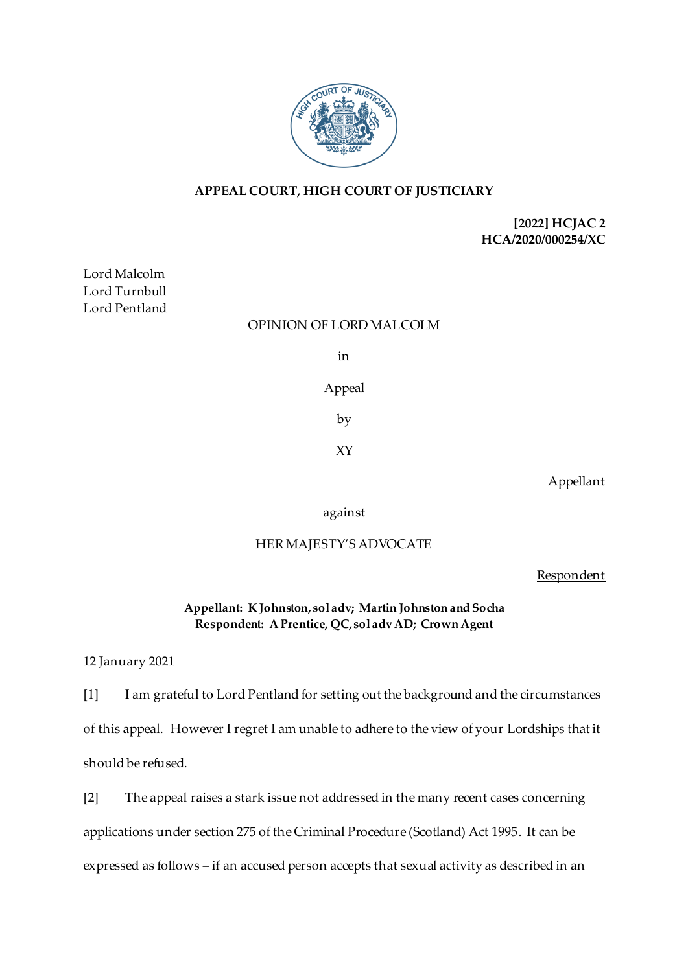

# **APPEAL COURT, HIGH COURT OF JUSTICIARY**

# **[2022] HCJAC 2 HCA/2020/000254/XC**

Lord Malcolm Lord Turnbull Lord Pentland

## OPINION OF LORD MALCOLM

in

# Appeal

by

XY

Appellant

against

## HER MAJESTY'S ADVOCATE

Respondent

**Appellant: K Johnston, sol adv; Martin Johnston and Socha Respondent: A Prentice, QC, sol adv AD; Crown Agent**

### 12 January 2021

[1] I am grateful to Lord Pentland for setting out the background and the circumstances of this appeal. However I regret I am unable to adhere to the view of your Lordships that it should be refused.

[2] The appeal raises a stark issue not addressed in the many recent cases concerning applications under section 275 of the Criminal Procedure (Scotland) Act 1995. It can be expressed as follows – if an accused person accepts that sexual activity as described in an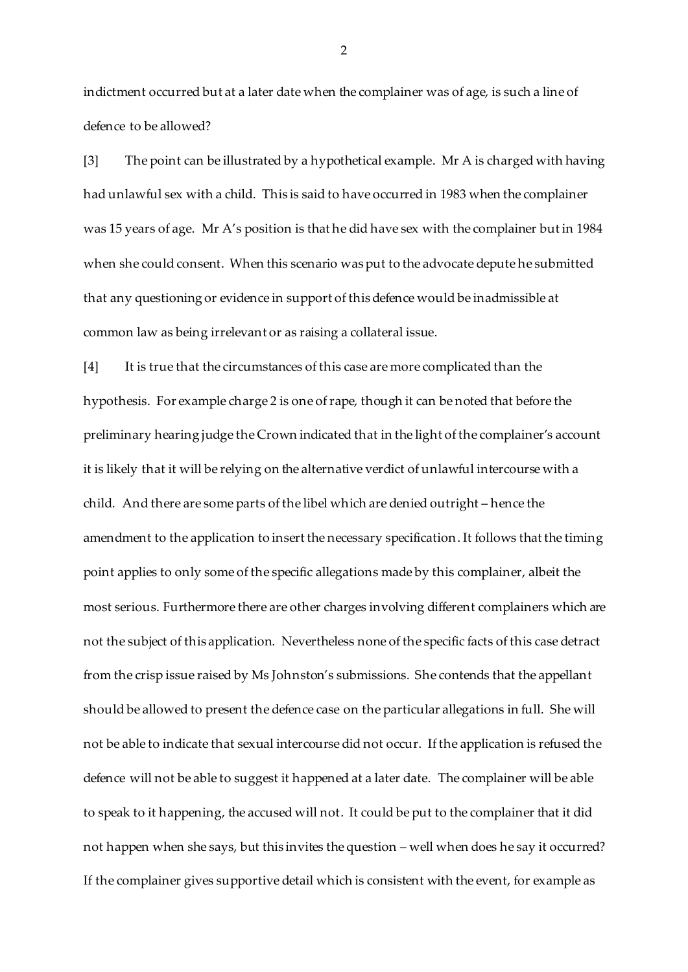indictment occurred but at a later date when the complainer was of age, is such a line of defence to be allowed?

[3] The point can be illustrated by a hypothetical example. Mr A is charged with having had unlawful sex with a child. This is said to have occurred in 1983 when the complainer was 15 years of age. Mr A's position is that he did have sex with the complainer but in 1984 when she could consent. When this scenario was put to the advocate depute he submitted that any questioning or evidence in support of this defence would be inadmissible at common law as being irrelevant or as raising a collateral issue.

[4] It is true that the circumstances of this case are more complicated than the hypothesis. For example charge 2 is one of rape, though it can be noted that before the preliminary hearing judge the Crown indicated that in the light of the complainer's account it is likely that it will be relying on the alternative verdict of unlawful intercourse with a child. And there are some parts of the libel which are denied outright – hence the amendment to the application to insert the necessary specification. It follows that the timing point applies to only some of the specific allegations made by this complainer, albeit the most serious. Furthermore there are other charges involving different complainers which are not the subject of this application. Nevertheless none of the specific facts of this case detract from the crisp issue raised by Ms Johnston's submissions. She contends that the appellant should be allowed to present the defence case on the particular allegations in full. She will not be able to indicate that sexual intercourse did not occur. If the application is refused the defence will not be able to suggest it happened at a later date. The complainer will be able to speak to it happening, the accused will not. It could be put to the complainer that it did not happen when she says, but this invites the question – well when does he say it occurred? If the complainer gives supportive detail which is consistent with the event, for example as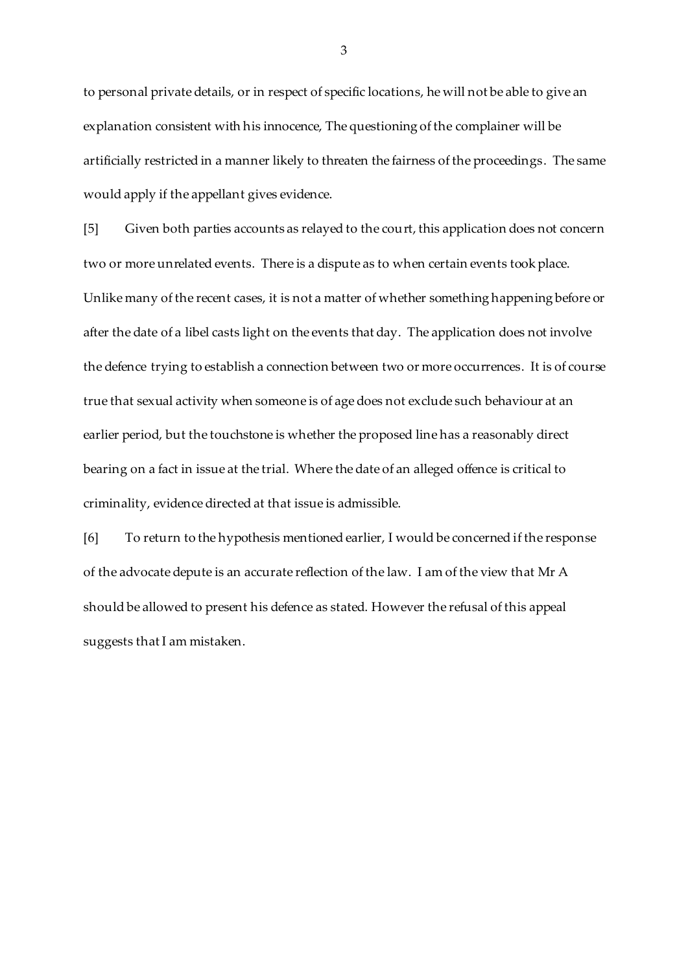to personal private details, or in respect of specific locations, he will not be able to give an explanation consistent with his innocence, The questioning of the complainer will be artificially restricted in a manner likely to threaten the fairness of the proceedings. The same would apply if the appellant gives evidence.

[5] Given both parties accounts as relayed to the court, this application does not concern two or more unrelated events. There is a dispute as to when certain events took place. Unlike many of the recent cases, it is not a matter of whether something happening before or after the date of a libel casts light on the events that day. The application does not involve the defence trying to establish a connection between two or more occurrences. It is of course true that sexual activity when someone is of age does not exclude such behaviour at an earlier period, but the touchstone is whether the proposed line has a reasonably direct bearing on a fact in issue at the trial. Where the date of an alleged offence is critical to criminality, evidence directed at that issue is admissible.

[6] To return to the hypothesis mentioned earlier, I would be concerned if the response of the advocate depute is an accurate reflection of the law. I am of the view that Mr A should be allowed to present his defence as stated. However the refusal of this appeal suggests that I am mistaken.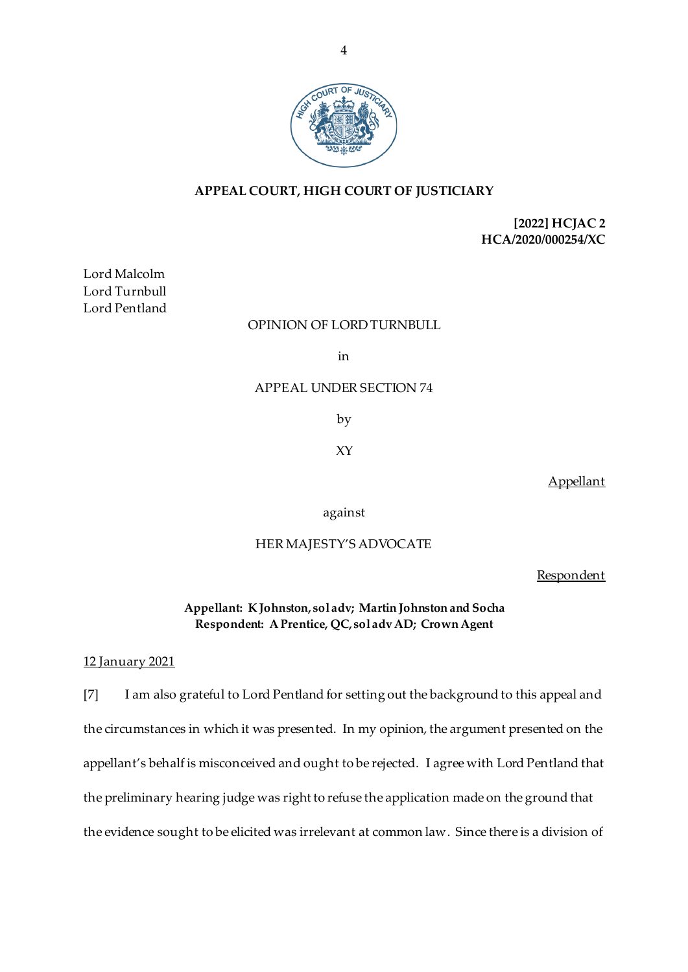

# **APPEAL COURT, HIGH COURT OF JUSTICIARY**

# **[2022] HCJAC 2 HCA/2020/000254/XC**

Lord Malcolm Lord Turnbull Lord Pentland

## OPINION OF LORD TURNBULL

in

## APPEAL UNDER SECTION 74

by

XY

Appellant

against

## HER MAJESTY'S ADVOCATE

Respondent

**Appellant: K Johnston, sol adv; Martin Johnston and Socha Respondent: A Prentice, QC, sol adv AD; Crown Agent**

#### 12 January 2021

[7] I am also grateful to Lord Pentland for setting out the background to this appeal and the circumstances in which it was presented. In my opinion, the argument presented on the appellant's behalf is misconceived and ought to be rejected. I agree with Lord Pentland that the preliminary hearing judge was right to refuse the application made on the ground that the evidence sought to be elicited was irrelevant at common law. Since there is a division of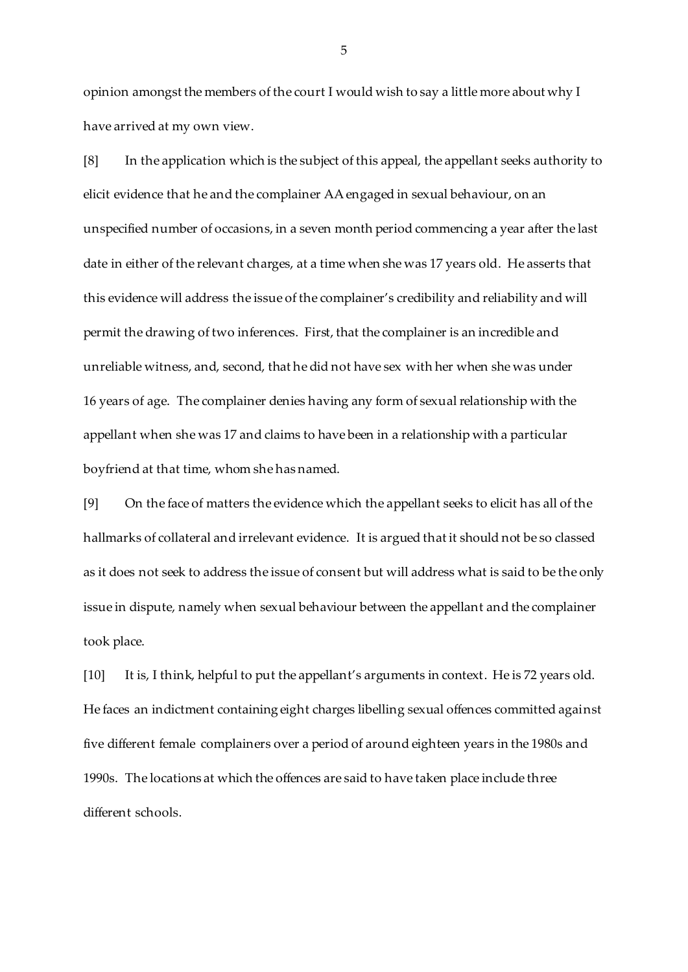opinion amongst the members of the court I would wish to say a little more about why I have arrived at my own view.

[8] In the application which is the subject of this appeal, the appellant seeks authority to elicit evidence that he and the complainer AA engaged in sexual behaviour, on an unspecified number of occasions, in a seven month period commencing a year after the last date in either of the relevant charges, at a time when she was 17 years old. He asserts that this evidence will address the issue of the complainer's credibility and reliability and will permit the drawing of two inferences. First, that the complainer is an incredible and unreliable witness, and, second, that he did not have sex with her when she was under 16 years of age. The complainer denies having any form of sexual relationship with the appellant when she was 17 and claims to have been in a relationship with a particular boyfriend at that time, whom she has named.

[9] On the face of matters the evidence which the appellant seeks to elicit has all of the hallmarks of collateral and irrelevant evidence. It is argued that it should not be so classed as it does not seek to address the issue of consent but will address what is said to be the only issue in dispute, namely when sexual behaviour between the appellant and the complainer took place.

[10] It is, I think, helpful to put the appellant's arguments in context. He is 72 years old. He faces an indictment containing eight charges libelling sexual offences committed against five different female complainers over a period of around eighteen years in the 1980s and 1990s. The locations at which the offences are said to have taken place include three different schools.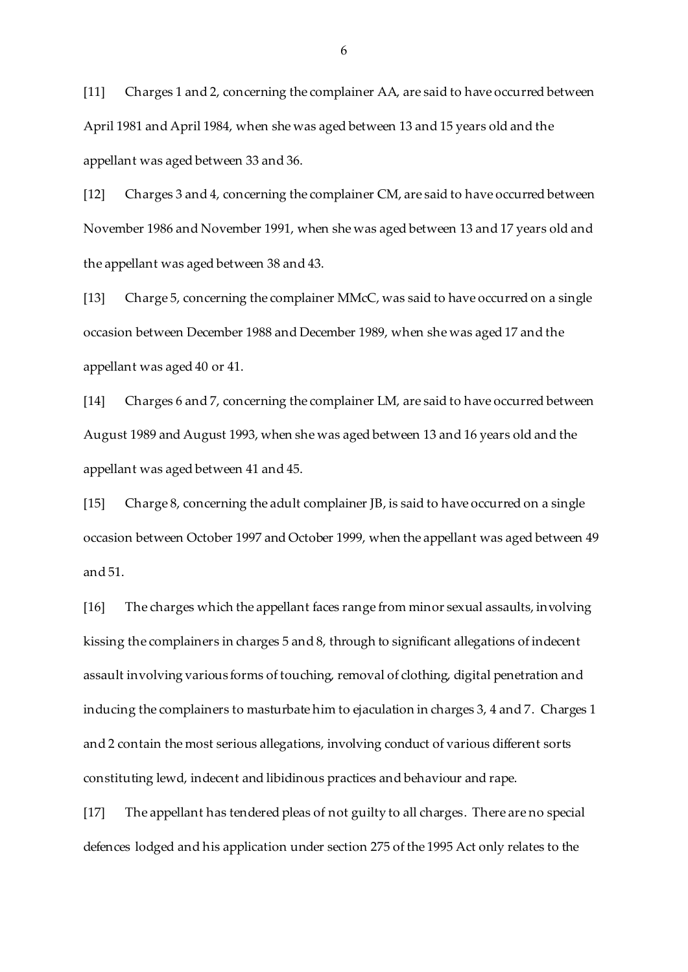[11] Charges 1 and 2, concerning the complainer AA, are said to have occurred between April 1981 and April 1984, when she was aged between 13 and 15 years old and the appellant was aged between 33 and 36.

[12] Charges 3 and 4, concerning the complainer CM, are said to have occurred between November 1986 and November 1991, when she was aged between 13 and 17 years old and the appellant was aged between 38 and 43.

[13] Charge 5, concerning the complainer MMcC, was said to have occurred on a single occasion between December 1988 and December 1989, when she was aged 17 and the appellant was aged 40 or 41.

[14] Charges 6 and 7, concerning the complainer LM, are said to have occurred between August 1989 and August 1993, when she was aged between 13 and 16 years old and the appellant was aged between 41 and 45.

[15] Charge 8, concerning the adult complainer JB, is said to have occurred on a single occasion between October 1997 and October 1999, when the appellant was aged between 49 and 51.

[16] The charges which the appellant faces range from minor sexual assaults, involving kissing the complainers in charges 5 and 8, through to significant allegations of indecent assault involving various forms of touching, removal of clothing, digital penetration and inducing the complainers to masturbate him to ejaculation in charges 3, 4 and 7. Charges 1 and 2 contain the most serious allegations, involving conduct of various different sorts constituting lewd, indecent and libidinous practices and behaviour and rape.

[17] The appellant has tendered pleas of not guilty to all charges. There are no special defences lodged and his application under section 275 of the 1995 Act only relates to the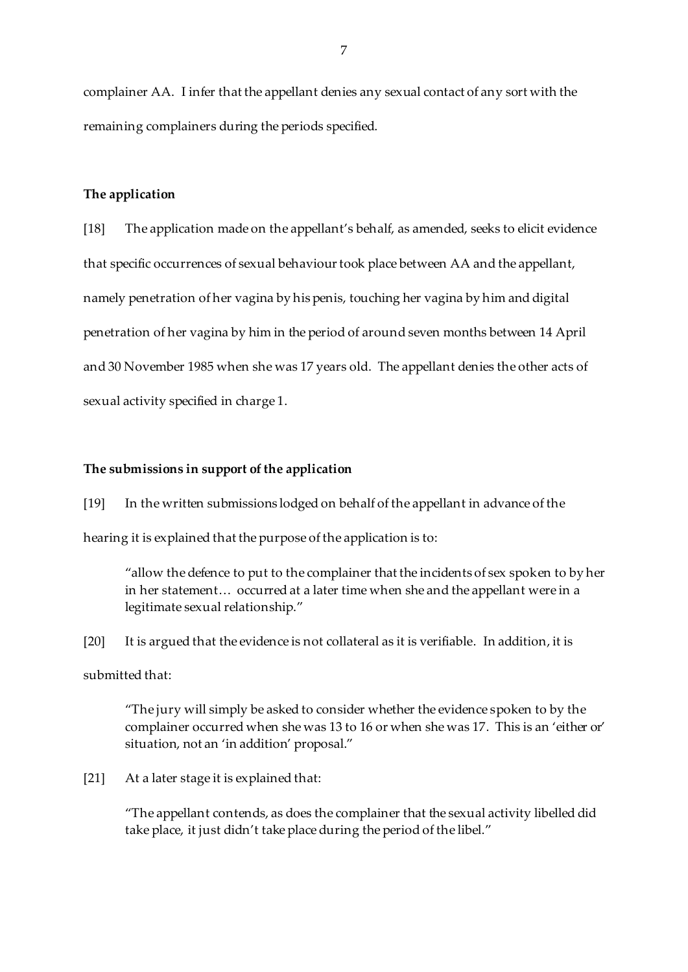complainer AA. I infer that the appellant denies any sexual contact of any sort with the remaining complainers during the periods specified.

### **The application**

[18] The application made on the appellant's behalf, as amended, seeks to elicit evidence that specific occurrences of sexual behaviour took place between AA and the appellant, namely penetration of her vagina by his penis, touching her vagina by him and digital penetration of her vagina by him in the period of around seven months between 14 April and 30 November 1985 when she was 17 years old. The appellant denies the other acts of sexual activity specified in charge 1.

#### **The submissions in support of the application**

[19] In the written submissions lodged on behalf of the appellant in advance of the hearing it is explained that the purpose of the application is to:

"allow the defence to put to the complainer that the incidents of sex spoken to by her in her statement… occurred at a later time when she and the appellant were in a legitimate sexual relationship."

[20] It is argued that the evidence is not collateral as it is verifiable. In addition, it is

submitted that:

"The jury will simply be asked to consider whether the evidence spoken to by the complainer occurred when she was 13 to 16 or when she was 17. This is an 'either or' situation, not an 'in addition' proposal."

[21] At a later stage it is explained that:

"The appellant contends, as does the complainer that the sexual activity libelled did take place, it just didn't take place during the period of the libel."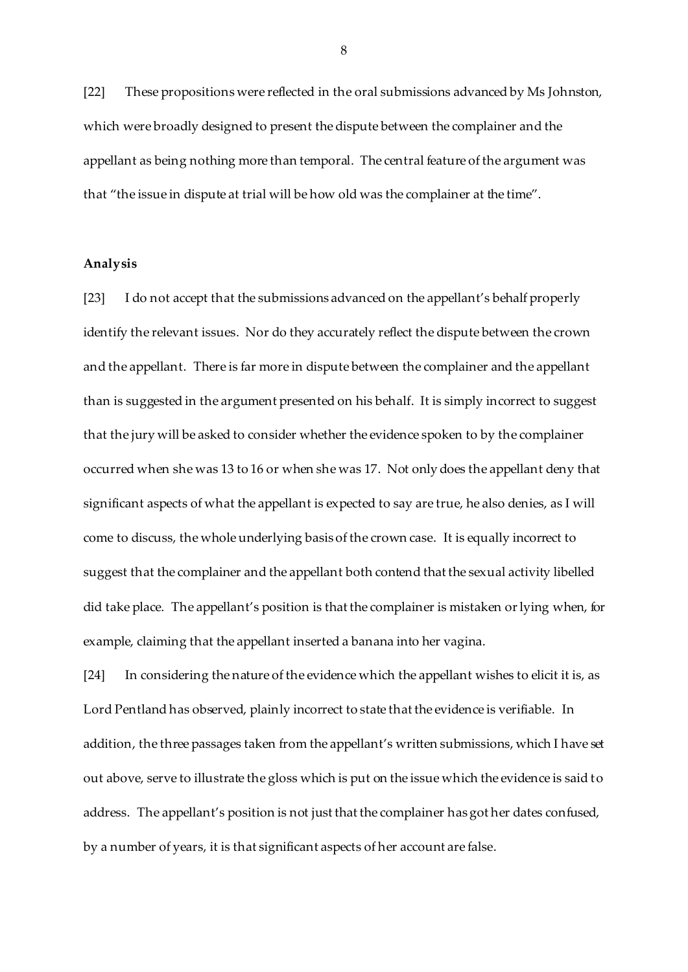[22] These propositions were reflected in the oral submissions advanced by Ms Johnston, which were broadly designed to present the dispute between the complainer and the appellant as being nothing more than temporal. The central feature of the argument was that "the issue in dispute at trial will be how old was the complainer at the time".

### **Analysis**

[23] I do not accept that the submissions advanced on the appellant's behalf properly identify the relevant issues. Nor do they accurately reflect the dispute between the crown and the appellant. There is far more in dispute between the complainer and the appellant than is suggested in the argument presented on his behalf. It is simply incorrect to suggest that the jury will be asked to consider whether the evidence spoken to by the complainer occurred when she was 13 to 16 or when she was 17. Not only does the appellant deny that significant aspects of what the appellant is expected to say are true, he also denies, as I will come to discuss, the whole underlying basis of the crown case. It is equally incorrect to suggest that the complainer and the appellant both contend that the sexual activity libelled did take place. The appellant's position is that the complainer is mistaken or lying when, for example, claiming that the appellant inserted a banana into her vagina.

[24] In considering the nature of the evidence which the appellant wishes to elicit it is, as Lord Pentland has observed, plainly incorrect to state that the evidence is verifiable. In addition, the three passages taken from the appellant's written submissions, which I have set out above, serve to illustrate the gloss which is put on the issue which the evidence is said to address. The appellant's position is not just that the complainer has got her dates confused, by a number of years, it is that significant aspects of her account are false.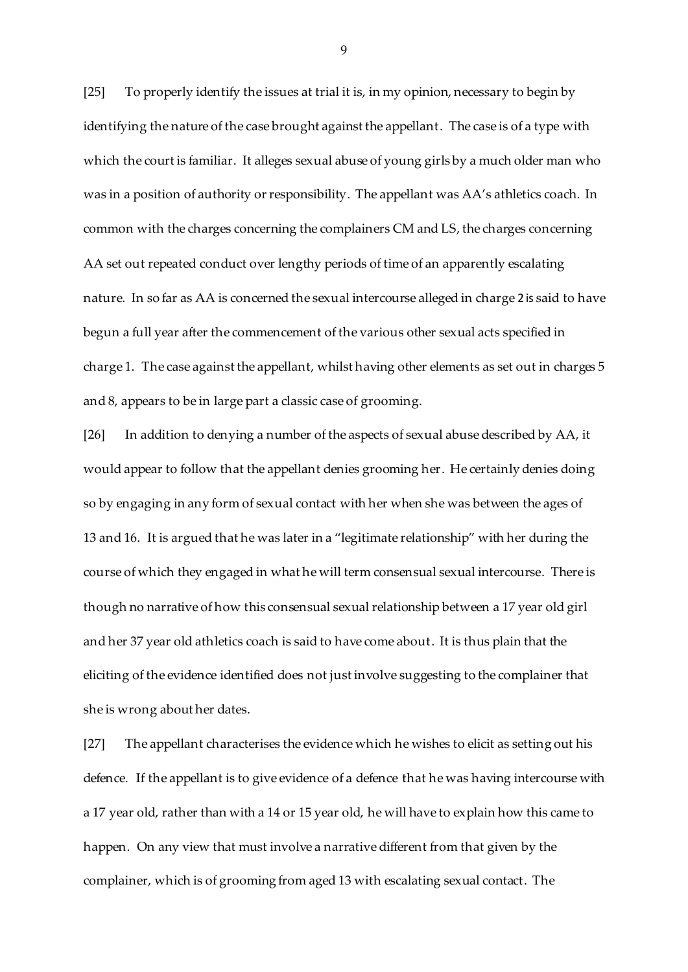[25] To properly identify the issues at trial it is, in my opinion, necessary to begin by identifying the nature of the case brought against the appellant. The case is of a type with which the court is familiar. It alleges sexual abuse of young girls by a much older man who was in a position of authority or responsibility. The appellant was AA's athletics coach. In common with the charges concerning the complainers CM and LS, the charges concerning AA set out repeated conduct over lengthy periods of time of an apparently escalating nature. In so far as AA is concerned the sexual intercourse alleged in charge 2 is said to have begun a full year after the commencement of the various other sexual acts specified in charge 1. The case against the appellant, whilst having other elements as set out in charges 5 and 8, appears to be in large part a classic case of grooming.

[26] In addition to denying a number of the aspects of sexual abuse described by AA, it would appear to follow that the appellant denies grooming her. He certainly denies doing so by engaging in any form of sexual contact with her when she was between the ages of 13 and 16. It is argued that he was later in a "legitimate relationship" with her during the course of which they engaged in what he will term consensual sexual intercourse. There is though no narrative of how this consensual sexual relationship between a 17 year old girl and her 37 year old athletics coach is said to have come about. It is thus plain that the eliciting of the evidence identified does not just involve suggesting to the complainer that she is wrong about her dates.

[27] The appellant characterises the evidence which he wishes to elicit as setting out his defence. If the appellant is to give evidence of a defence that he was having intercourse with a 17 year old, rather than with a 14 or 15 year old, he will have to explain how this came to happen. On any view that must involve a narrative different from that given by the complainer, which is of grooming from aged 13 with escalating sexual contact. The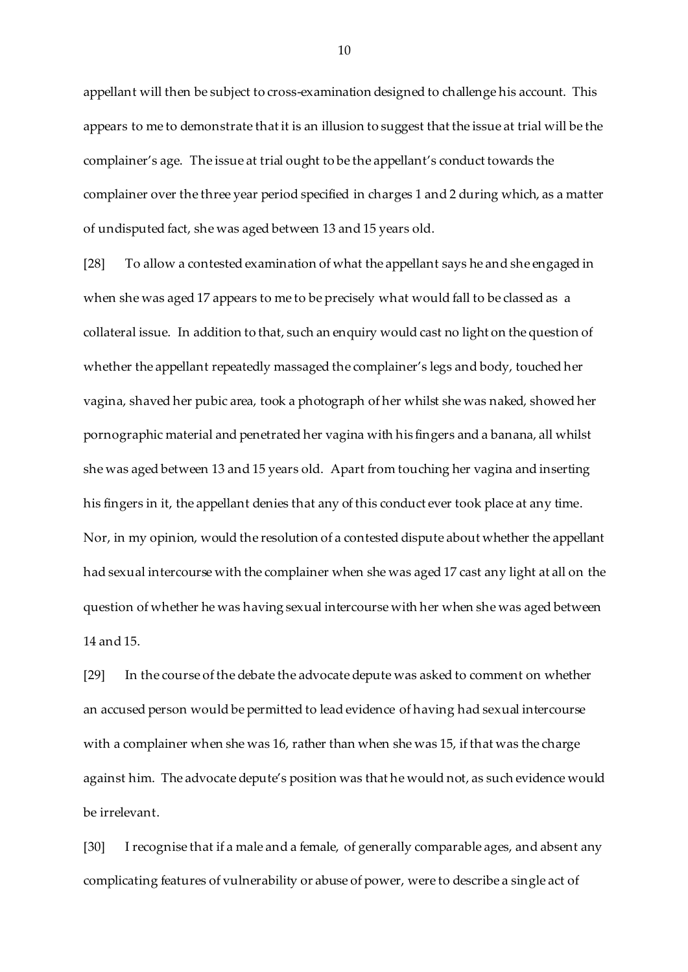appellant will then be subject to cross-examination designed to challenge his account. This appears to me to demonstrate that it is an illusion to suggest that the issue at trial will be the complainer's age. The issue at trial ought to be the appellant's conduct towards the complainer over the three year period specified in charges 1 and 2 during which, as a matter of undisputed fact, she was aged between 13 and 15 years old.

[28] To allow a contested examination of what the appellant says he and she engaged in when she was aged 17 appears to me to be precisely what would fall to be classed as a collateral issue. In addition to that, such an enquiry would cast no light on the question of whether the appellant repeatedly massaged the complainer's legs and body, touched her vagina, shaved her pubic area, took a photograph of her whilst she was naked, showed her pornographic material and penetrated her vagina with his fingers and a banana, all whilst she was aged between 13 and 15 years old. Apart from touching her vagina and inserting his fingers in it, the appellant denies that any of this conduct ever took place at any time. Nor, in my opinion, would the resolution of a contested dispute about whether the appellant had sexual intercourse with the complainer when she was aged 17 cast any light at all on the question of whether he was having sexual intercourse with her when she was aged between 14 and 15.

[29] In the course of the debate the advocate depute was asked to comment on whether an accused person would be permitted to lead evidence of having had sexual intercourse with a complainer when she was 16, rather than when she was 15, if that was the charge against him. The advocate depute's position was that he would not, as such evidence would be irrelevant.

[30] I recognise that if a male and a female, of generally comparable ages, and absent any complicating features of vulnerability or abuse of power, were to describe a single act of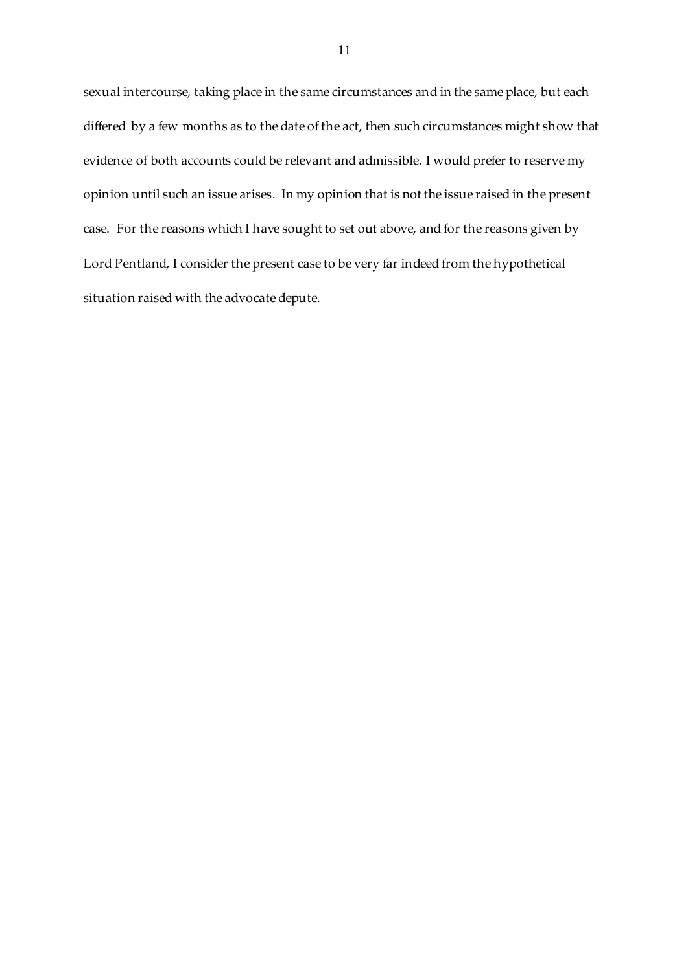sexual intercourse, taking place in the same circumstances and in the same place, but each differed by a few months as to the date of the act, then such circumstances might show that evidence of both accounts could be relevant and admissible. I would prefer to reserve my opinion until such an issue arises. In my opinion that is not the issue raised in the present case. For the reasons which I have sought to set out above, and for the reasons given by Lord Pentland, I consider the present case to be very far indeed from the hypothetical situation raised with the advocate depute.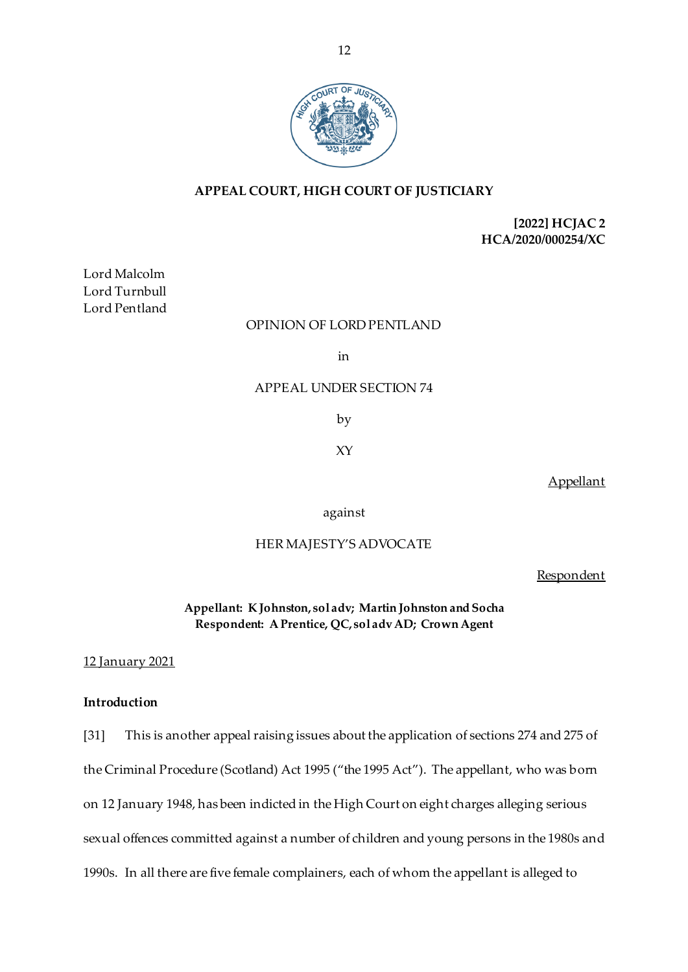

# **APPEAL COURT, HIGH COURT OF JUSTICIARY**

# **[2022] HCJAC 2 HCA/2020/000254/XC**

Lord Malcolm Lord Turnbull Lord Pentland

## OPINION OF LORD PENTLAND

in

## APPEAL UNDER SECTION 74

by

XY

**Appellant** 

against

## HER MAJESTY'S ADVOCATE

Respondent

**Appellant: K Johnston, sol adv; Martin Johnston and Socha Respondent: A Prentice, QC, sol adv AD; Crown Agent**

#### 12 January 2021

## **Introduction**

[31] This is another appeal raising issues about the application of sections 274 and 275 of the Criminal Procedure (Scotland) Act 1995 ("the 1995 Act"). The appellant, who was born on 12 January 1948, has been indicted in the High Court on eight charges alleging serious sexual offences committed against a number of children and young persons in the 1980s and 1990s. In all there are five female complainers, each of whom the appellant is alleged to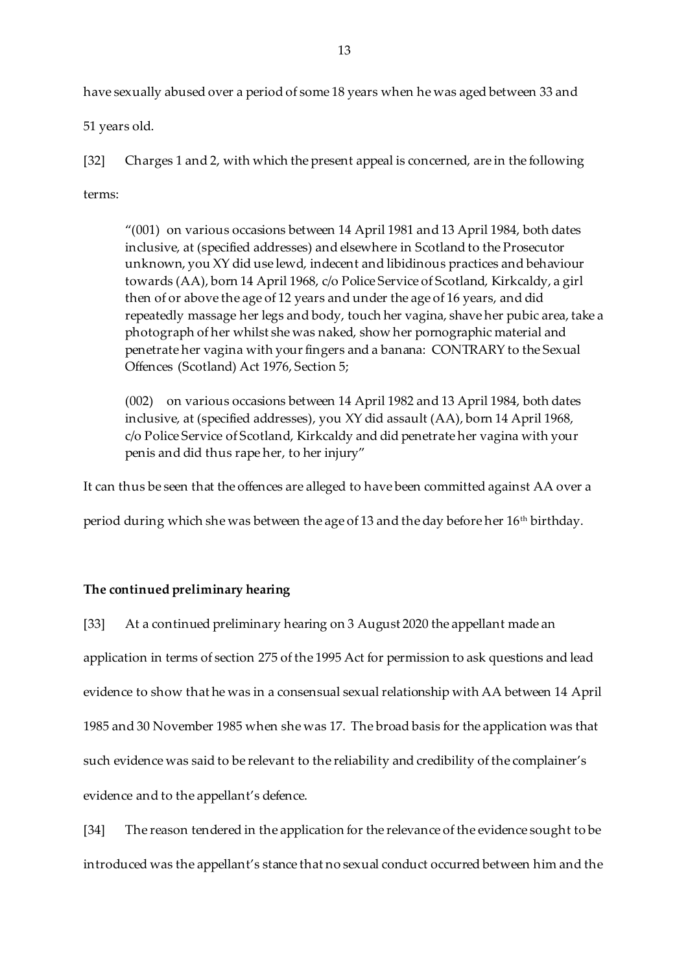have sexually abused over a period of some 18 years when he was aged between 33 and

51 years old.

[32] Charges 1 and 2, with which the present appeal is concerned, are in the following

terms:

"(001) on various occasions between 14 April 1981 and 13 April 1984, both dates inclusive, at (specified addresses) and elsewhere in Scotland to the Prosecutor unknown, you XY did use lewd, indecent and libidinous practices and behaviour towards (AA), born 14 April 1968, c/o Police Service of Scotland, Kirkcaldy, a girl then of or above the age of 12 years and under the age of 16 years, and did repeatedly massage her legs and body, touch her vagina, shave her pubic area, take a photograph of her whilst she was naked, show her pornographic material and penetrate her vagina with your fingers and a banana: CONTRARY to the Sexual Offences (Scotland) Act 1976, Section 5;

(002) on various occasions between 14 April 1982 and 13 April 1984, both dates inclusive, at (specified addresses), you XY did assault (AA), born 14 April 1968, c/o Police Service of Scotland, Kirkcaldy and did penetrate her vagina with your penis and did thus rape her, to her injury"

It can thus be seen that the offences are alleged to have been committed against AA over a

period during which she was between the age of 13 and the day before her  $16<sup>th</sup>$  birthday.

# **The continued preliminary hearing**

[33] At a continued preliminary hearing on 3 August 2020 the appellant made an application in terms of section 275 of the 1995 Act for permission to ask questions and lead evidence to show that he was in a consensual sexual relationship with AA between 14 April 1985 and 30 November 1985 when she was 17. The broad basis for the application was that such evidence was said to be relevant to the reliability and credibility of the complainer's evidence and to the appellant's defence.

[34] The reason tendered in the application for the relevance of the evidence sought to be introduced was the appellant's stance that no sexual conduct occurred between him and the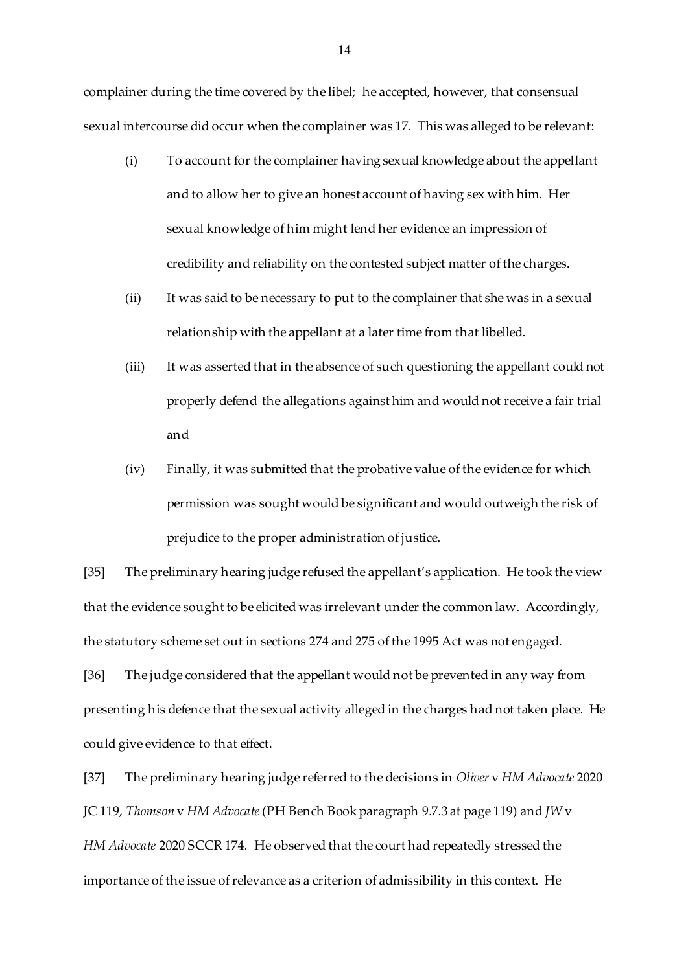complainer during the time covered by the libel; he accepted, however, that consensual sexual intercourse did occur when the complainer was 17. This was alleged to be relevant:

- (i) To account for the complainer having sexual knowledge about the appellant and to allow her to give an honest account of having sex with him. Her sexual knowledge of him might lend her evidence an impression of credibility and reliability on the contested subject matter of the charges.
- (ii) It was said to be necessary to put to the complainer that she was in a sexual relationship with the appellant at a later time from that libelled.
- (iii) It was asserted that in the absence of such questioning the appellant could not properly defend the allegations against him and would not receive a fair trial and
- (iv) Finally, it was submitted that the probative value of the evidence for which permission was sought would be significant and would outweigh the risk of prejudice to the proper administration of justice.

[35] The preliminary hearing judge refused the appellant's application. He took the view that the evidence sought to be elicited was irrelevant under the common law. Accordingly, the statutory scheme set out in sections 274 and 275 of the 1995 Act was not engaged.

[36] The judge considered that the appellant would not be prevented in any way from presenting his defence that the sexual activity alleged in the charges had not taken place. He could give evidence to that effect.

[37] The preliminary hearing judge referred to the decisions in *Oliver* v *HM Advocate* 2020 JC 119, *Thomson* v *HM Advocate*(PH Bench Book paragraph 9.7.3 at page 119) and *JW* v *HM Advocate* 2020 SCCR 174. He observed that the court had repeatedly stressed the importance of the issue of relevance as a criterion of admissibility in this context. He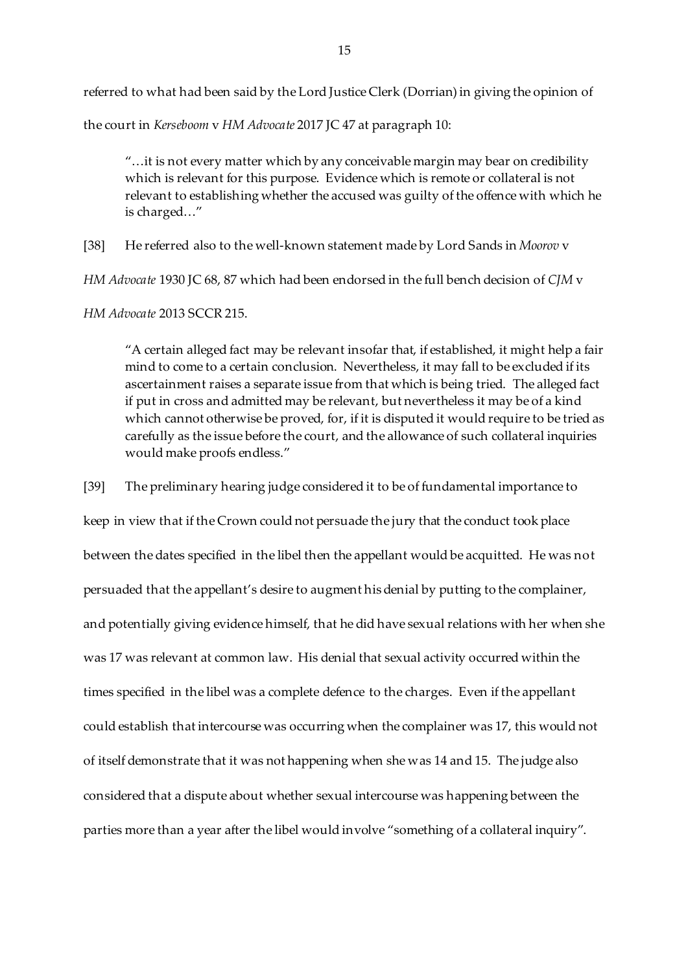referred to what had been said by the Lord Justice Clerk (Dorrian) in giving the opinion of

the court in *Kerseboom* v *HM Advocate* 2017 JC 47 at paragraph 10:

"…it is not every matter which by any conceivable margin may bear on credibility which is relevant for this purpose. Evidence which is remote or collateral is not relevant to establishing whether the accused was guilty of the offence with which he is charged…"

[38] He referred also to the well-known statement made by Lord Sands in *Moorov* v

*HM Advocate* 1930 JC 68, 87 which had been endorsed in the full bench decision of *CJM* v

*HM Advocate* 2013 SCCR 215.

"A certain alleged fact may be relevant insofar that, if established, it might help a fair mind to come to a certain conclusion. Nevertheless, it may fall to be excluded if its ascertainment raises a separate issue from that which is being tried. The alleged fact if put in cross and admitted may be relevant, but nevertheless it may be of a kind which cannot otherwise be proved, for, if it is disputed it would require to be tried as carefully as the issue before the court, and the allowance of such collateral inquiries would make proofs endless."

[39] The preliminary hearing judge considered it to be of fundamental importance to keep in view that if the Crown could not persuade the jury that the conduct took place between the dates specified in the libel then the appellant would be acquitted. He was not persuaded that the appellant's desire to augment his denial by putting to the complainer, and potentially giving evidence himself, that he did have sexual relations with her when she was 17 was relevant at common law. His denial that sexual activity occurred within the times specified in the libel was a complete defence to the charges. Even if the appellant could establish that intercourse was occurring when the complainer was 17, this would not of itself demonstrate that it was not happening when she was 14 and 15. The judge also considered that a dispute about whether sexual intercourse was happening between the parties more than a year after the libel would involve "something of a collateral inquiry".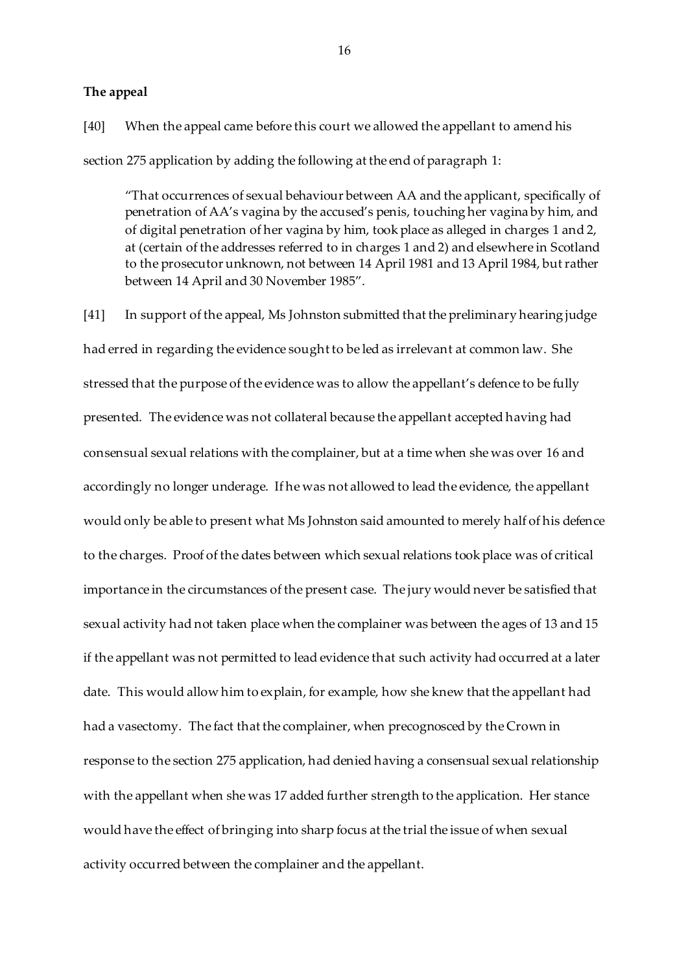#### **The appeal**

[40] When the appeal came before this court we allowed the appellant to amend his section 275 application by adding the following at the end of paragraph 1:

"That occurrences of sexual behaviour between AA and the applicant, specifically of penetration of AA's vagina by the accused's penis, touching her vagina by him, and of digital penetration of her vagina by him, took place as alleged in charges 1 and 2, at (certain of the addresses referred to in charges 1 and 2) and elsewhere in Scotland to the prosecutor unknown, not between 14 April 1981 and 13 April 1984, but rather between 14 April and 30 November 1985".

[41] In support of the appeal, Ms Johnston submitted that the preliminary hearing judge had erred in regarding the evidence sought to be led as irrelevant at common law. She stressed that the purpose of the evidence was to allow the appellant's defence to be fully presented. The evidence was not collateral because the appellant accepted having had consensual sexual relations with the complainer, but at a time when she was over 16 and accordingly no longer underage. If he was not allowed to lead the evidence, the appellant would only be able to present what Ms Johnston said amounted to merely half of his defence to the charges. Proof of the dates between which sexual relations took place was of critical importance in the circumstances of the present case. The jury would never be satisfied that sexual activity had not taken place when the complainer was between the ages of 13 and 15 if the appellant was not permitted to lead evidence that such activity had occurred at a later date. This would allow him to explain, for example, how she knew that the appellant had had a vasectomy. The fact that the complainer, when precognosced by the Crown in response to the section 275 application, had denied having a consensual sexual relationship with the appellant when she was 17 added further strength to the application. Her stance would have the effect of bringing into sharp focus at the trial the issue of when sexual activity occurred between the complainer and the appellant.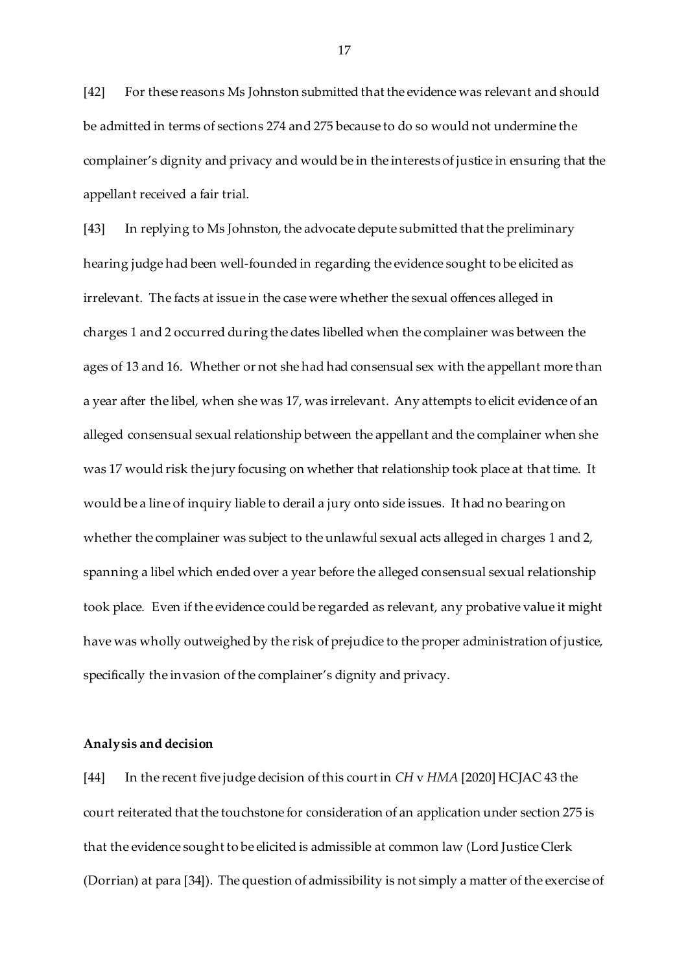[42] For these reasons Ms Johnston submitted that the evidence was relevant and should be admitted in terms of sections 274 and 275 because to do so would not undermine the complainer's dignity and privacy and would be in the interests of justice in ensuring that the appellant received a fair trial.

[43] In replying to Ms Johnston, the advocate depute submitted that the preliminary hearing judge had been well-founded in regarding the evidence sought to be elicited as irrelevant. The facts at issue in the case were whether the sexual offences alleged in charges 1 and 2 occurred during the dates libelled when the complainer was between the ages of 13 and 16. Whether or not she had had consensual sex with the appellant more than a year after the libel, when she was 17, was irrelevant. Any attempts to elicit evidence of an alleged consensual sexual relationship between the appellant and the complainer when she was 17 would risk the jury focusing on whether that relationship took place at that time. It would be a line of inquiry liable to derail a jury onto side issues. It had no bearing on whether the complainer was subject to the unlawful sexual acts alleged in charges 1 and 2, spanning a libel which ended over a year before the alleged consensual sexual relationship took place. Even if the evidence could be regarded as relevant, any probative value it might have was wholly outweighed by the risk of prejudice to the proper administration of justice, specifically the invasion of the complainer's dignity and privacy.

#### **Analysis and decision**

[44] In the recent five judge decision of this court in *CH* v *HMA* [2020] HCJAC 43 the court reiterated that the touchstone for consideration of an application under section 275 is that the evidence sought to be elicited is admissible at common law (Lord Justice Clerk (Dorrian) at para [34]). The question of admissibility is not simply a matter of the exercise of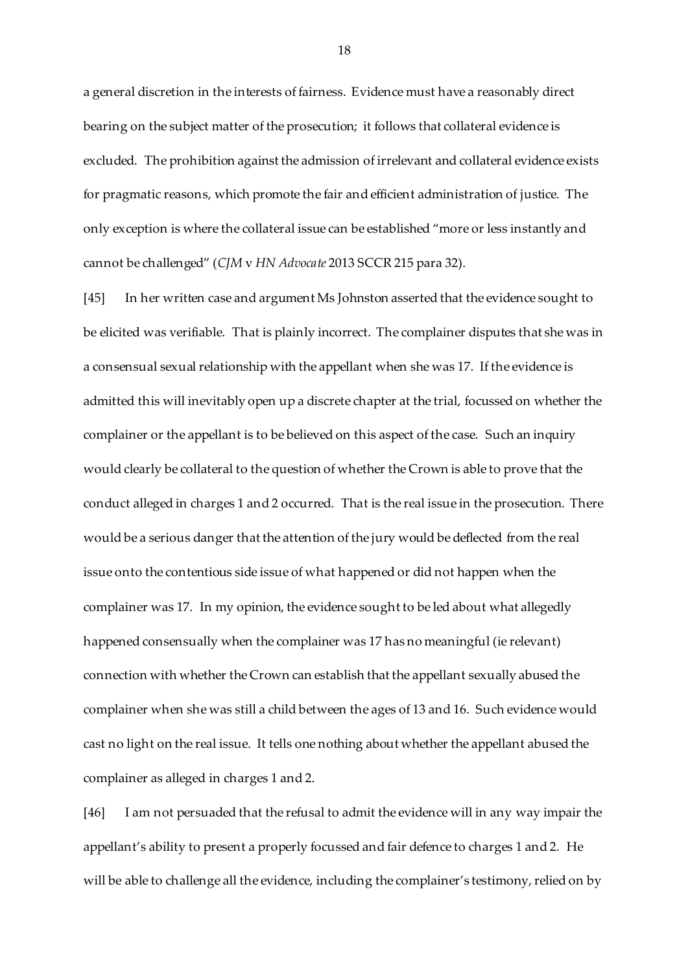a general discretion in the interests of fairness. Evidence must have a reasonably direct bearing on the subject matter of the prosecution; it follows that collateral evidence is excluded. The prohibition against the admission of irrelevant and collateral evidence exists for pragmatic reasons, which promote the fair and efficient administration of justice. The only exception is where the collateral issue can be established "more or less instantly and cannot be challenged" (*CJM* v *HN Advocate* 2013 SCCR 215 para 32).

[45] In her written case and argument Ms Johnston asserted that the evidence sought to be elicited was verifiable. That is plainly incorrect. The complainer disputes that she was in a consensual sexual relationship with the appellant when she was 17. If the evidence is admitted this will inevitably open up a discrete chapter at the trial, focussed on whether the complainer or the appellant is to be believed on this aspect of the case. Such an inquiry would clearly be collateral to the question of whether the Crown is able to prove that the conduct alleged in charges 1 and 2 occurred. That is the real issue in the prosecution. There would be a serious danger that the attention of the jury would be deflected from the real issue onto the contentious side issue of what happened or did not happen when the complainer was 17. In my opinion, the evidence sought to be led about what allegedly happened consensually when the complainer was 17 has no meaningful (ie relevant) connection with whether the Crown can establish that the appellant sexually abused the complainer when she was still a child between the ages of 13 and 16. Such evidence would cast no light on the real issue. It tells one nothing about whether the appellant abused the complainer as alleged in charges 1 and 2.

[46] I am not persuaded that the refusal to admit the evidence will in any way impair the appellant's ability to present a properly focussed and fair defence to charges 1 and 2. He will be able to challenge all the evidence, including the complainer's testimony, relied on by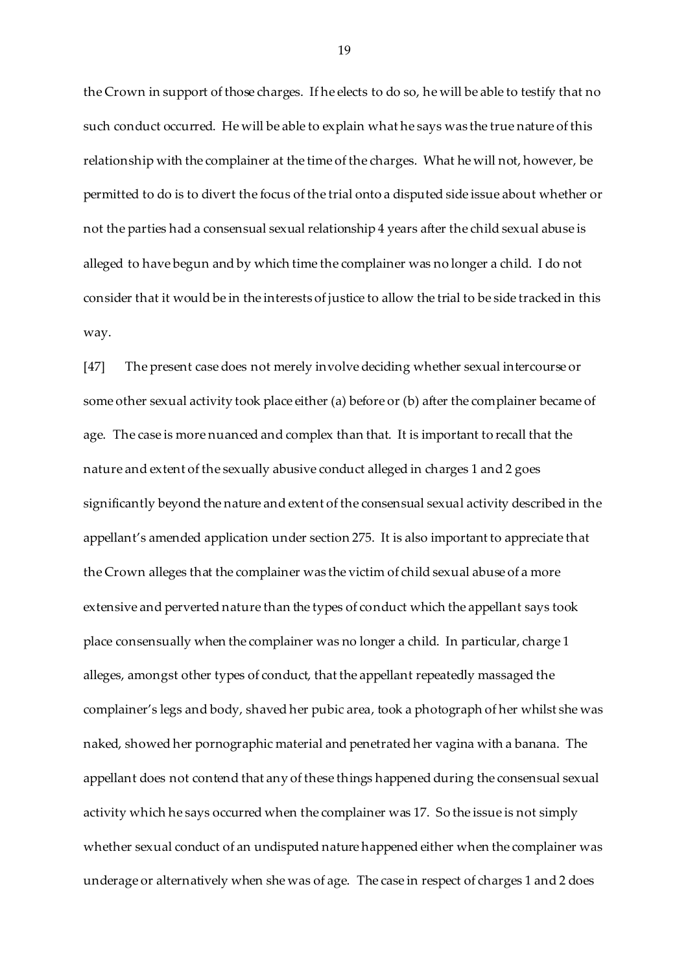the Crown in support of those charges. If he elects to do so, he will be able to testify that no such conduct occurred. He will be able to explain what he says was the true nature of this relationship with the complainer at the time of the charges. What he will not, however, be permitted to do is to divert the focus of the trial onto a disputed side issue about whether or not the parties had a consensual sexual relationship 4 years after the child sexual abuse is alleged to have begun and by which time the complainer was no longer a child. I do not consider that it would be in the interests of justice to allow the trial to be side tracked in this way.

[47] The present case does not merely involve deciding whether sexual intercourse or some other sexual activity took place either (a) before or (b) after the complainer became of age. The case is more nuanced and complex than that. It is important to recall that the nature and extent of the sexually abusive conduct alleged in charges 1 and 2 goes significantly beyond the nature and extent of the consensual sexual activity described in the appellant's amended application under section 275. It is also important to appreciate that the Crown alleges that the complainer was the victim of child sexual abuse of a more extensive and perverted nature than the types of conduct which the appellant says took place consensually when the complainer was no longer a child. In particular, charge 1 alleges, amongst other types of conduct, that the appellant repeatedly massaged the complainer's legs and body, shaved her pubic area, took a photograph of her whilst she was naked, showed her pornographic material and penetrated her vagina with a banana. The appellant does not contend that any of these things happened during the consensual sexual activity which he says occurred when the complainer was 17. So the issue is not simply whether sexual conduct of an undisputed nature happened either when the complainer was underage or alternatively when she was of age. The case in respect of charges 1 and 2 does